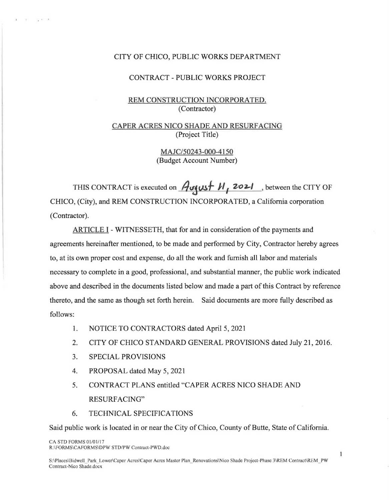#### CITY OF CHICO, PUBLIC WORKS DEPARTMENT

#### CONTRACT - PUBLIC **WORKS** PROJECT

# REM CONSTRUCTION INCORPORATED. (Contractor)

# CAPER ACRES NICO SHADE AND RESURFACING (Project Title)

MAJC/50243-000-4150 (Budget Account Number)

THIS CONTRACT is executed on  $\frac{\partial \mathbf{y}}{\partial t}$  **J** *Zozi*, between the CITY OF CHICO, (City), and REM CONSTRUCTION INCORPORATED, a California corporation (Contractor).

ARTICLE I - WITNESSETH, that for and in consideration of the payments and agreements hereinafter mentioned, to be made and performed by City, Contractor hereby agrees to, at its own proper cost and expense, do all the work and furnish all labor and materials necessary to complete in a good, professional, and substantial manner, the public work indicated above and described in the documents listed below and made a part of this Contract by reference thereto, and the same as though set forth herein. Said documents are more fully described as follows:

- 1. NOTICE TO CONTRACTORS dated April 5, 2021
- 2. CITY OF CHICO STANDARD GENERAL PROVISIONS dated July 21, 2016.
- 3. SPECIAL PROVISIONS

 $\mathbb{E}\left[1-\frac{1}{2}\right]\mathbb{E}\left[1-\frac{1}{2}\right]\mathbb{E}\left[1-\frac{1}{2}\right]$ 

- 4. PROPOSAL dated May 5, 2021
- 5. CONTRACT PLANS entitled "CAPER ACRES NICO SHADE AND RESURFACING"
- 6. TECHNICAL SPECIFICATIONS

Said public work is located in or near the City of Chico, County of Butte, State of California.

CA STD FORMS 01/01/17 R:\FORMS\CAFORMS\DPW STD/PW Contract-PWD.doc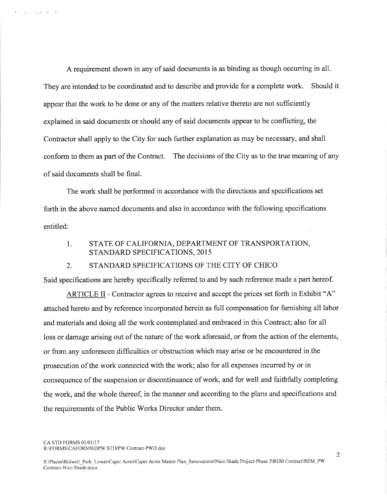A requirement shown in any of said documents is as binding as though occurring in all. They are intended to be coordinated and to describe and provide for a complete work. Should it appear that the work to be done or any of the matters relative thereto are not sufficiently explained in said documents or should any of said documents appear to be conflicting, the Contractor shall apply to the City for such further explanation as may be necessary, and shall conform to them as part of the Contract. The decisions of the City as to the true meaning of any of said documents shall be final.

The work shall be performed in accordance with the directions and specifications set forth in the above named documents and also in accordance with the following specifications entitled:

#### STATE OF CALIFORNIA, DEPARTMENT OF TRANSPORTATION, 1. STANDARD SPECIFICATIONS, 2015

#### STANDARD SPECIFICATIONS OF THE CITY OF CHICO  $2^{\circ}$

Said specifications are hereby specifically referred to and by such reference made a part hereof.

ARTICLE II - Contractor agrees to receive and accept the prices set forth in Exhibit "A" attached hereto and by reference incorporated herein as full compensation for furnishing all labor and materials and doing all the work contemplated and embraced in this Contract; also for all loss or damage arising out of the nature of the work aforesaid, or from the action of the elements, or from any unforeseen difficulties or obstruction which may arise or be encountered in the prosecution of the work connected with the work; also for all expenses incurred by or in consequence of the suspension or discontinuance of work, and for well and faithfully completing the work, and the whole thereof, in the manner and according to the plans and specifications and the requirements of the Public Works Director under them.

CA STD FORMS 01/01/17 R:\FORMS\CAFORMS\DPW STD/PW Contract-PWD.doc

 $\overline{\epsilon} = \sqrt{2}$   $\overline{\epsilon}$   $\approx$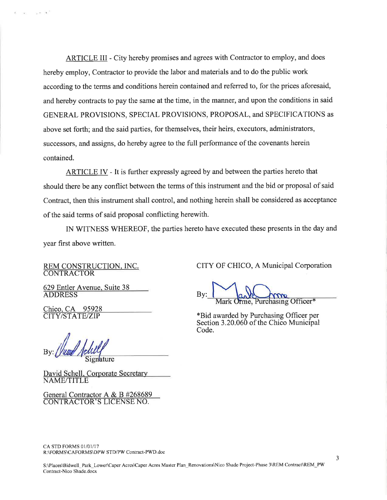ARTICLE III - City hereby promises and agrees with Contractor to employ, and does hereby employ, Contractor to provide the labor and materials and to do the public work according to the terms and conditions herein contained and referred to, for the prices aforesaid, and hereby contracts to pay the same at the time, in the manner, and upon the conditions in said GENERAL PROVISIONS, SPECIAL PROVISIONS, PROPOSAL, and SPECIFICATIONS as above set forth; and the said parties, for themselves, their heirs, executors, administrators, successors, and assigns, do hereby agree to the full performance of the covenants herein contained.

ARTICLE IV - It is further expressly agreed by and between the parties hereto that should there be any conflict between the terms of this instrument and the bid or proposal of said Contract, then this instrument shall control, and nothing herein shall be considered as acceptance of the said terms of said proposal conflicting herewith.

IN WITNESS WHEREOF, the parties hereto have executed these presents in the day and year first above written.

REM CONSTRUCTION, INC. **CONTRACTOR** 

629 Entler Avenue, Suite 38 **ADDRESS** 

Chico, CA 95928 **CITY/STATE/ZIP** 

 $\mathbf{y} \in \mathcal{X}$ 

Signature

David Schell, Corporate Secretary **NAME/TITLE** 

General Contractor A & B #268689<br>CONTRACTOR'S LICENSE NO.

CITY OF CHICO, A Municipal Corporation

Orme, Purchasing Officer\*

\*Bid awarded by Purchasing Officer per Section 3.20.060 of the Chico Municipal Code.

CA STD FORMS 01/01/17 R:\FORMS\CAFORMS\DPW STD/PW Contract-PWD.doc

3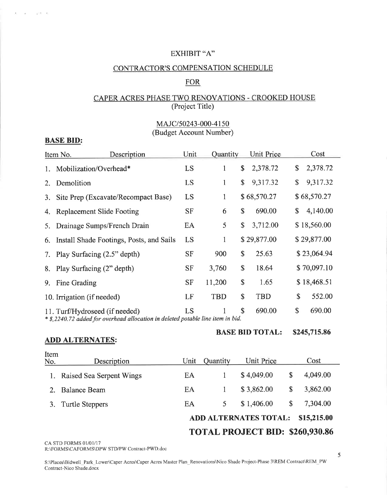# EXHIBIT "A"

# CONTRACTOR'S COMPENSATION SCHEDULE

## **FOR**

# CAPER ACRES PHASE TWO RENOVATIONS - CROOKED HOUSE (Project Title)

# MAJC/50243-000-4150 (Budget Account Number)

### **BASE BID:**

 $a_1 = -105$ 

|    | Description<br>Item No.                                                                                                                                 | Unit      | Quantity   |              | Unit Price  |    | Cost        |  |  |
|----|---------------------------------------------------------------------------------------------------------------------------------------------------------|-----------|------------|--------------|-------------|----|-------------|--|--|
|    | 1. Mobilization/Overhead*                                                                                                                               | LS        | 1          | \$           | 2,378.72    | \$ | 2,378.72    |  |  |
| 2. | Demolition                                                                                                                                              | LS        | 1          | $\mathbb{S}$ | 9,317.32    | \$ | 9,317.32    |  |  |
| 3. | Site Prep (Excavate/Recompact Base)                                                                                                                     | LS        | 1          |              | \$68,570.27 |    | \$68,570.27 |  |  |
|    | 4. Replacement Slide Footing                                                                                                                            | <b>SF</b> | 6          | \$           | 690.00      | \$ | 4,140.00    |  |  |
| 5. | Drainage Sumps/French Drain                                                                                                                             | EA        | 5          | \$           | 3,712.00    |    | \$18,560.00 |  |  |
|    | 6. Install Shade Footings, Posts, and Sails                                                                                                             | LS        | 1          |              | \$29,877.00 |    | \$29,877.00 |  |  |
|    | 7. Play Surfacing (2.5" depth)                                                                                                                          | SF        | 900        | \$           | 25.63       |    | \$23,064.94 |  |  |
|    | 8. Play Surfacing (2" depth)                                                                                                                            | SF        | 3,760      | \$           | 18.64       |    | \$70,097.10 |  |  |
|    | 9. Fine Grading                                                                                                                                         | <b>SF</b> | 11,200     | \$           | 1.65        |    | \$18,468.51 |  |  |
|    | 10. Irrigation (if needed)                                                                                                                              | LF        | <b>TBD</b> | \$           | <b>TBD</b>  | \$ | 552.00      |  |  |
|    | \$<br>\$<br>690.00<br>690.00<br>LS<br>11. Turf/Hydroseed (if needed)<br>* \$,2240.72 added for overhead allocation in deleted potable line item in bid. |           |            |              |             |    |             |  |  |

**ADD ALTERNATES:** 

# **BASE BID TOTAL: \$245,715.86**

| Item<br>No. | Description                                 | Unit | <b>Quantity</b> | <b>Unit Price</b> |    | Cost     |  |  |
|-------------|---------------------------------------------|------|-----------------|-------------------|----|----------|--|--|
|             | Raised Sea Serpent Wings                    | EA   |                 | \$4,049.00        | \$ | 4,049.00 |  |  |
|             | <b>Balance Beam</b>                         | EA   |                 | \$3,862.00        | \$ | 3,862.00 |  |  |
| 3.          | <b>Turtle Steppers</b>                      | EA   | 5.              | \$1,406.00        | S  | 7,304.00 |  |  |
|             | <b>ADD ALTERNATES TOTAL:</b><br>\$15,215.00 |      |                 |                   |    |          |  |  |
|             | TOTAL PROJECT BID: \$260,930.86             |      |                 |                   |    |          |  |  |

CA STD FORMS 01/01/17

R:\FORMS\CAFORMS\DPW STD/PW Contract-PWD.doc

ò.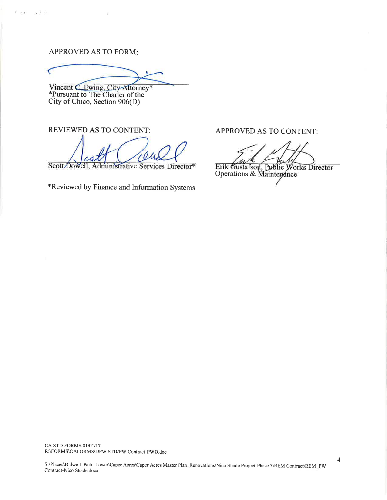### **APPROVED AS TO FORM:**

Kone a Bit

Vincent CEwing, City-Attorney\*<br>\*Pursuant to The Charter of the<br>City of Chico, Section 906(D)

**REVIEWED AS TO CONTENT:** 

Scott Dowell Administrative Services Director\*

\*Reviewed by Finance and Information Systems

APPROVED AS TO CONTENT:

Erik Gustafson, Public Works Director<br>Operations & Maintenance

CA STD FORMS 01/01/17 R:\FORMS\CAFORMS\DPW STD/PW Contract-PWD.doc